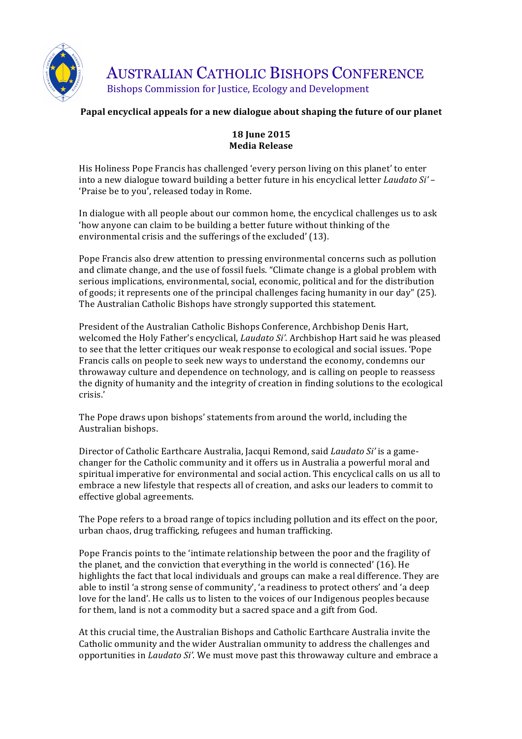

AUSTRALIAN CATHOLIC BISHOPS CONFERENCE Bishops Commission for Justice, Ecology and Development

# Papal encyclical appeals for a new dialogue about shaping the future of our planet

## **18 June 2015 Media Release**

His Holiness Pope Francis has challenged 'every person living on this planet' to enter into a new dialogue toward building a better future in his encyclical letter *Laudato Si'* – 'Praise be to you', released today in Rome.

In dialogue with all people about our common home, the encyclical challenges us to ask 'how anyone can claim to be building a better future without thinking of the environmental crisis and the sufferings of the excluded' (13).

Pope Francis also drew attention to pressing environmental concerns such as pollution and climate change, and the use of fossil fuels. "Climate change is a global problem with serious implications, environmental, social, economic, political and for the distribution of goods; it represents one of the principal challenges facing humanity in our day"  $(25)$ . The Australian Catholic Bishops have strongly supported this statement.

President of the Australian Catholic Bishops Conference, Archbishop Denis Hart, welcomed the Holy Father's encyclical, *Laudato Si'*. Archbishop Hart said he was pleased to see that the letter critiques our weak response to ecological and social issues. 'Pope Francis calls on people to seek new ways to understand the economy, condemns our throwaway culture and dependence on technology, and is calling on people to reassess the dignity of humanity and the integrity of creation in finding solutions to the ecological crisis.'

The Pope draws upon bishops' statements from around the world, including the Australian bishops. 

Director of Catholic Earthcare Australia, Jacqui Remond, said *Laudato Si'* is a gamechanger for the Catholic community and it offers us in Australia a powerful moral and spiritual imperative for environmental and social action. This encyclical calls on us all to embrace a new lifestyle that respects all of creation, and asks our leaders to commit to effective global agreements.

The Pope refers to a broad range of topics including pollution and its effect on the poor, urban chaos, drug trafficking, refugees and human trafficking.

Pope Francis points to the 'intimate relationship between the poor and the fragility of the planet, and the conviction that everything in the world is connected' (16). He highlights the fact that local individuals and groups can make a real difference. They are able to instil 'a strong sense of community', 'a readiness to protect others' and 'a deep love for the land'. He calls us to listen to the voices of our Indigenous peoples because for them, land is not a commodity but a sacred space and a gift from God.

At this crucial time, the Australian Bishops and Catholic Earthcare Australia invite the Catholic ommunity and the wider Australian ommunity to address the challenges and opportunities in *Laudato Si'*. We must move past this throwaway culture and embrace a